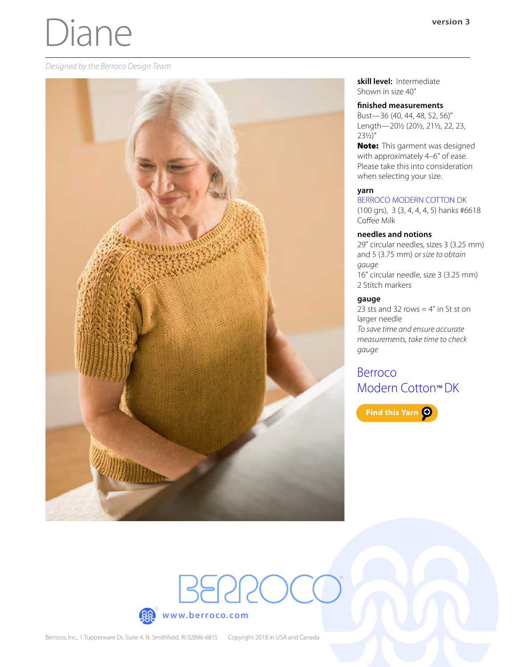# Diane

#### *Designed by the Berroco Design Team*



**skill level:** Intermediate Shown in size 40"

#### **finished measurements**

Bust—36 (40, 44, 48, 52, 56)" Length—20½ (20½, 21½, 22, 23, 23½)"

Note: This garment was designed with approximately 4–6" of ease. Please take this into consideration when selecting your size.

#### **yarn**

### [BERROCO MODERN COTTON DK](https://www.berroco.com/yarns/berroco-modern-cotton-dk)

(100 grs), 3 (3, 4, 4, 4, 5) hanks #6618 Coffee Milk

### **needles and notions**

29" circular needles, sizes 3 (3.25 mm) and 5 (3.75 mm) *or size to obtain gauge* 16" circular needle, size 3 (3.25 mm) 2 Stitch markers

### **gauge**

23 sts and 32 rows  $=$  4" in St st on larger needle *To save time and ensure accurate measurements, take time to check gauge*

# [Berroco](https://www.berroco.com/yarns/berroco-modern-cotton-dk)  [Modern Cotton](https://www.berroco.com/yarns/berroco-modern-cotton-dk)™ DK

Find this Yarn O

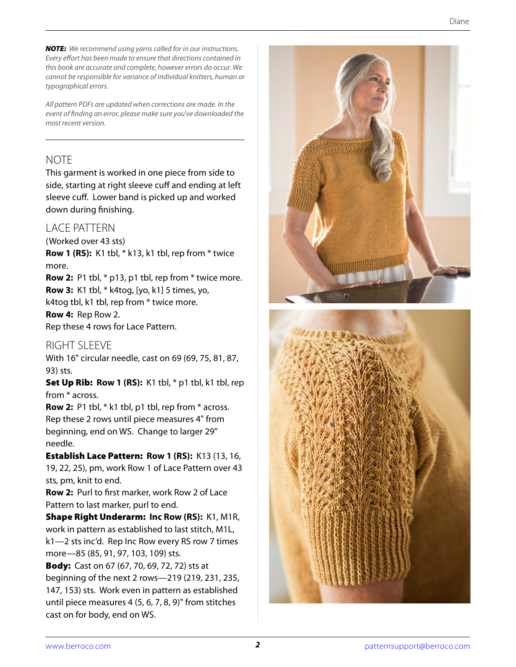*NOTE: We recommend using yarns called for in our instructions. Every effort has been made to ensure that directions contained in this book are accurate and complete, however errors do occur. We cannot be responsible for variance of individual knitters, human or typographical errors.*

*All pattern PDFs are updated when corrections are made. In the event of finding an error, please make sure you've downloaded the most recent version.*

# **NOTE**

This garment is worked in one piece from side to side, starting at right sleeve cuff and ending at left sleeve cuff. Lower band is picked up and worked down during finishing.

## LACE PATTERN

(Worked over 43 sts)

**Row 1 (RS):** K1 tbl, \* k13, k1 tbl, rep from \* twice more.

**Row 2:** P1 tbl, \* p13, p1 tbl, rep from \* twice more. **Row 3:** K1 tbl, \* k4tog, [yo, k1] 5 times, yo, k4tog tbl, k1 tbl, rep from \* twice more.

## **Row 4:** Rep Row 2.

Rep these 4 rows for Lace Pattern.

## RIGHT SI FFVF

With 16" circular needle, cast on 69 (69, 75, 81, 87, 93) sts.

**Set Up Rib: Row 1 (RS):** K1 tbl,  $*$  p1 tbl, k1 tbl, rep from \* across.

**Row 2:** P1 tbl, \* k1 tbl, p1 tbl, rep from \* across. Rep these 2 rows until piece measures 4" from beginning, end on WS. Change to larger 29" needle.

Establish Lace Pattern: **Row 1 (RS):** K13 (13, 16, 19, 22, 25), pm, work Row 1 of Lace Pattern over 43 sts, pm, knit to end.

**Row 2:** Purl to first marker, work Row 2 of Lace Pattern to last marker, purl to end.

Shape Right Underarm: **Inc Row (RS):** K1, M1R, work in pattern as established to last stitch, M1L, k1—2 sts inc'd. Rep Inc Row every RS row 7 times more—85 (85, 91, 97, 103, 109) sts.

**Body:** Cast on 67 (67, 70, 69, 72, 72) sts at beginning of the next 2 rows—219 (219, 231, 235, 147, 153) sts. Work even in pattern as established until piece measures 4 (5, 6, 7, 8, 9)" from stitches cast on for body, end on WS.



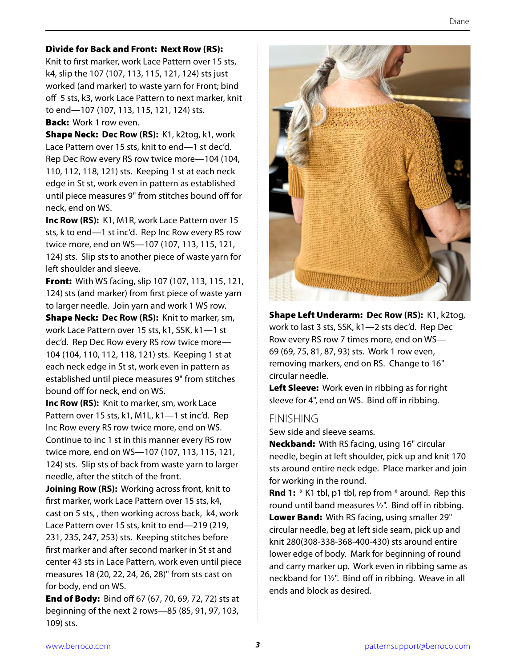## Divide for Back and Front: Next Row (RS):

Knit to first marker, work Lace Pattern over 15 sts, k4, slip the 107 (107, 113, 115, 121, 124) sts just worked (and marker) to waste yarn for Front; bind off 5 sts, k3, work Lace Pattern to next marker, knit to end—107 (107, 113, 115, 121, 124) sts.

## **Back:** Work 1 row even.

Shape Neck: **Dec Row (RS):** K1, k2tog, k1, work Lace Pattern over 15 sts, knit to end—1 st dec'd. Rep Dec Row every RS row twice more—104 (104, 110, 112, 118, 121) sts. Keeping 1 st at each neck edge in St st, work even in pattern as established until piece measures 9" from stitches bound off for neck, end on WS.

**Inc Row (RS):** K1, M1R, work Lace Pattern over 15 sts, k to end—1 st inc'd. Rep Inc Row every RS row twice more, end on WS—107 (107, 113, 115, 121, 124) sts. Slip sts to another piece of waste yarn for left shoulder and sleeve.

**Front:** With WS facing, slip 107 (107, 113, 115, 121, 124) sts (and marker) from first piece of waste yarn to larger needle. Join yarn and work 1 WS row. Shape Neck: **Dec Row (RS):** Knit to marker, sm, work Lace Pattern over 15 sts, k1, SSK, k1—1 st dec'd. Rep Dec Row every RS row twice more— 104 (104, 110, 112, 118, 121) sts. Keeping 1 st at each neck edge in St st, work even in pattern as established until piece measures 9" from stitches bound off for neck, end on WS.

**Inc Row (RS):** Knit to marker, sm, work Lace Pattern over 15 sts, k1, M1L, k1—1 st inc'd. Rep Inc Row every RS row twice more, end on WS. Continue to inc 1 st in this manner every RS row twice more, end on WS—107 (107, 113, 115, 121, 124) sts. Slip sts of back from waste yarn to larger needle, after the stitch of the front.

**Joining Row (RS):** Working across front, knit to first marker, work Lace Pattern over 15 sts, k4, cast on 5 sts, , then working across back, k4, work Lace Pattern over 15 sts, knit to end—219 (219, 231, 235, 247, 253) sts. Keeping stitches before first marker and after second marker in St st and center 43 sts in Lace Pattern, work even until piece measures 18 (20, 22, 24, 26, 28)" from sts cast on for body, end on WS.

**End of Body:** Bind off 67 (67, 70, 69, 72, 72) sts at beginning of the next 2 rows—85 (85, 91, 97, 103, 109) sts.



Shape Left Underarm: **Dec Row (RS):** K1, k2tog, work to last 3 sts, SSK, k1—2 sts dec'd. Rep Dec Row every RS row 7 times more, end on WS— 69 (69, 75, 81, 87, 93) sts. Work 1 row even, removing markers, end on RS. Change to 16" circular needle.

Left Sleeve: Work even in ribbing as for right sleeve for 4", end on WS. Bind off in ribbing.

## FINISHING

Sew side and sleeve seams.

Neckband: With RS facing, using 16" circular needle, begin at left shoulder, pick up and knit 170 sts around entire neck edge. Place marker and join for working in the round.

**Rnd 1:** \* K1 tbl, p1 tbl, rep from \* around. Rep this round until band measures ½". Bind off in ribbing. Lower Band: With RS facing, using smaller 29" circular needle, beg at left side seam, pick up and knit 280(308-338-368-400-430) sts around entire lower edge of body. Mark for beginning of round and carry marker up. Work even in ribbing same as neckband for 1½". Bind off in ribbing. Weave in all ends and block as desired.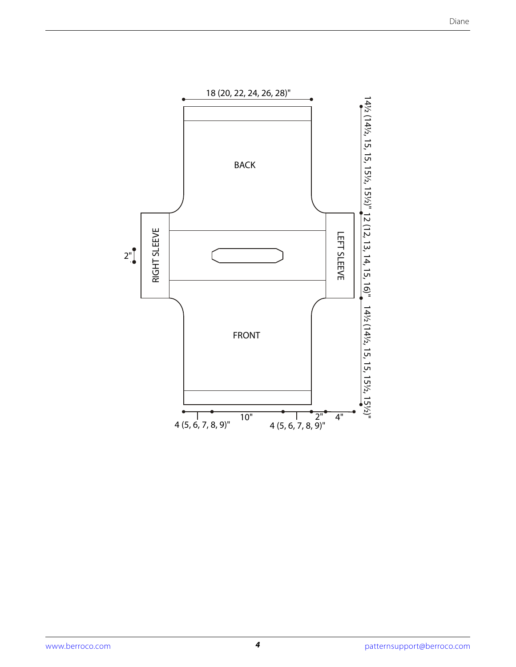